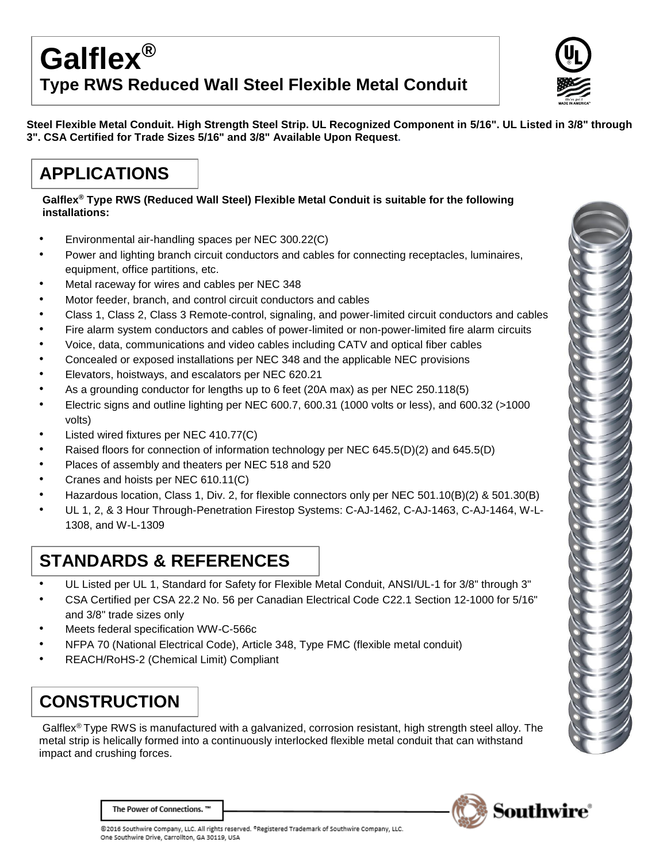# **Galflex® Type RWS Reduced Wall Steel Flexible Metal Conduit**



**Steel Flexible Metal Conduit. High Strength Steel Strip. UL Recognized Component in 5/16". UL Listed in 3/8" through 3". CSA Certified for Trade Sizes 5/16" and 3/8" Available Upon Request.**

## **APPLICATIONS**

**Galflex® Type RWS (Reduced Wall Steel) Flexible Metal Conduit is suitable for the following installations:**

- Environmental air-handling spaces per NEC 300.22(C)
- Power and lighting branch circuit conductors and cables for connecting receptacles, luminaires, equipment, office partitions, etc.
- Metal raceway for wires and cables per NEC 348
- Motor feeder, branch, and control circuit conductors and cables
- Class 1, Class 2, Class 3 Remote-control, signaling, and power-limited circuit conductors and cables
- Fire alarm system conductors and cables of power-limited or non-power-limited fire alarm circuits
- Voice, data, communications and video cables including CATV and optical fiber cables
- Concealed or exposed installations per NEC 348 and the applicable NEC provisions
- Elevators, hoistways, and escalators per NEC 620.21
- As a grounding conductor for lengths up to 6 feet (20A max) as per NEC 250.118(5)
- Electric signs and outline lighting per NEC 600.7, 600.31 (1000 volts or less), and 600.32 (>1000 volts)
- Listed wired fixtures per NEC 410.77(C)
- Raised floors for connection of information technology per NEC 645.5(D)(2) and 645.5(D)
- Places of assembly and theaters per NEC 518 and 520
- Cranes and hoists per NEC 610.11(C)
- Hazardous location, Class 1, Div. 2, for flexible connectors only per NEC 501.10(B)(2) & 501.30(B)
- UL 1, 2, & 3 Hour Through-Penetration Firestop Systems: C-AJ-1462, C-AJ-1463, C-AJ-1464, W-L-1308, and W-L-1309

## **STANDARDS & REFERENCES**

- UL Listed per UL 1, Standard for Safety for Flexible Metal Conduit, ANSI/UL-1 for 3/8" through 3"
- CSA Certified per CSA 22.2 No. 56 per Canadian Electrical Code C22.1 Section 12-1000 for 5/16" and 3/8" trade sizes only
- Meets federal specification WW-C-566c
- NFPA 70 (National Electrical Code), Article 348, Type FMC (flexible metal conduit)
- REACH/RoHS-2 (Chemical Limit) Compliant

# **CONSTRUCTION**

Galflex® Type RWS is manufactured with a galvanized, corrosion resistant, high strength steel alloy. The metal strip is helically formed into a continuously interlocked flexible metal conduit that can withstand impact and crushing forces.





The Power of Connections. "